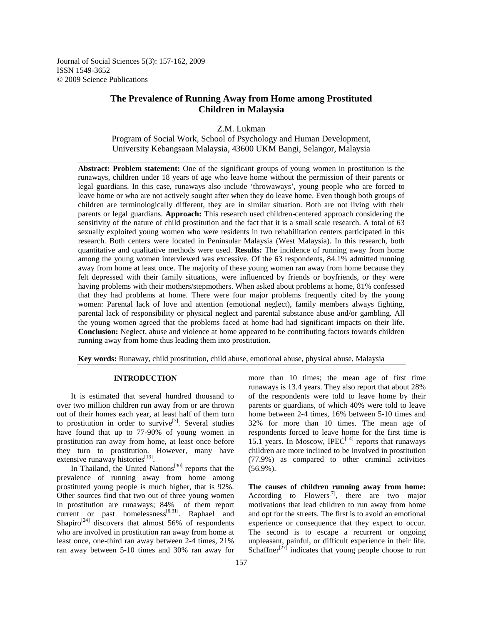Journal of Social Sciences 5(3): 157-162, 2009 ISSN 1549-3652 © 2009 Science Publications

# **The Prevalence of Running Away from Home among Prostituted Children in Malaysia**

Z.M. Lukman

Program of Social Work, School of Psychology and Human Development, University Kebangsaan Malaysia, 43600 UKM Bangi, Selangor, Malaysia

**Abstract: Problem statement:** One of the significant groups of young women in prostitution is the runaways, children under 18 years of age who leave home without the permission of their parents or legal guardians. In this case, runaways also include 'throwaways', young people who are forced to leave home or who are not actively sought after when they do leave home. Even though both groups of children are terminologically different, they are in similar situation. Both are not living with their parents or legal guardians. **Approach:** This research used children-centered approach considering the sensitivity of the nature of child prostitution and the fact that it is a small scale research. A total of 63 sexually exploited young women who were residents in two rehabilitation centers participated in this research. Both centers were located in Peninsular Malaysia (West Malaysia). In this research, both quantitative and qualitative methods were used. **Results:** The incidence of running away from home among the young women interviewed was excessive. Of the 63 respondents, 84.1% admitted running away from home at least once. The majority of these young women ran away from home because they felt depressed with their family situations, were influenced by friends or boyfriends, or they were having problems with their mothers/stepmothers. When asked about problems at home, 81% confessed that they had problems at home. There were four major problems frequently cited by the young women: Parental lack of love and attention (emotional neglect), family members always fighting, parental lack of responsibility or physical neglect and parental substance abuse and/or gambling. All the young women agreed that the problems faced at home had had significant impacts on their life. **Conclusion:** Neglect, abuse and violence at home appeared to be contributing factors towards children running away from home thus leading them into prostitution.

**Key words:** Runaway, child prostitution, child abuse, emotional abuse, physical abuse, Malaysia

## **INTRODUCTION**

 It is estimated that several hundred thousand to over two million children run away from or are thrown out of their homes each year, at least half of them turn to prostitution in order to survive<sup>[7]</sup>. Several studies have found that up to 77-90% of young women in prostitution ran away from home, at least once before they turn to prostitution. However, many have extensive runaway histories<sup>[13]</sup>.

In Thailand, the United Nations<sup>[30]</sup> reports that the prevalence of running away from home among prostituted young people is much higher, that is 92%. Other sources find that two out of three young women in prostitution are runaways; 84% of them report current or past homelessness<sup>[6,31]</sup>. Raphael and Shapiro $^{[24]}$  discovers that almost 56% of respondents who are involved in prostitution ran away from home at least once, one-third ran away between 2-4 times, 21% ran away between 5-10 times and 30% ran away for

more than 10 times; the mean age of first time runaways is 13.4 years. They also report that about 28% of the respondents were told to leave home by their parents or guardians, of which 40% were told to leave home between 2-4 times, 16% between 5-10 times and 32% for more than 10 times. The mean age of respondents forced to leave home for the first time is 15.1 years. In Moscow, IPEC<sup>[14]</sup> reports that runaways children are more inclined to be involved in prostitution (77.9%) as compared to other criminal activities (56.9%).

**The causes of children running away from home:**  According to Flowers<sup>[7]</sup>, there are two major motivations that lead children to run away from home and opt for the streets. The first is to avoid an emotional experience or consequence that they expect to occur. The second is to escape a recurrent or ongoing unpleasant, painful, or difficult experience in their life. Schaffner<sup>[27]</sup> indicates that young people choose to run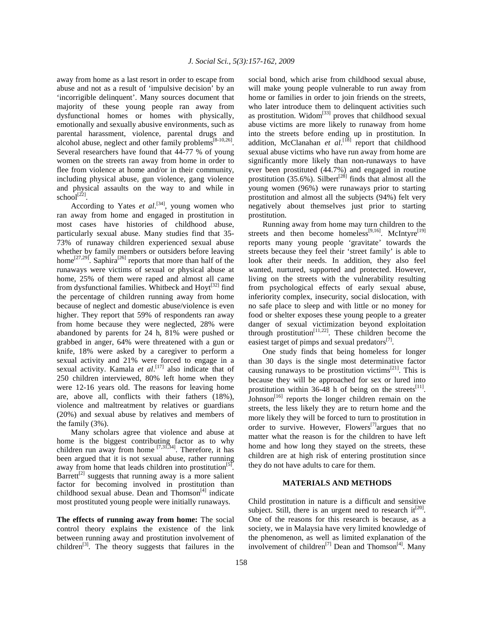away from home as a last resort in order to escape from abuse and not as a result of 'impulsive decision' by an 'incorrigible delinquent'. Many sources document that majority of these young people ran away from dysfunctional homes or homes with physically, emotionally and sexually abusive environments, such as parental harassment, violence, parental drugs and alcohol abuse, neglect and other family problems<sup>[8-10,26]</sup>. Several researchers have found that 44-77 % of young women on the streets ran away from home in order to flee from violence at home and/or in their community, including physical abuse, gun violence, gang violence and physical assaults on the way to and while in  $\text{school}^{[22]}$ .

According to Yates *et al.*<sup>[34]</sup>, young women who ran away from home and engaged in prostitution in most cases have histories of childhood abuse, particularly sexual abuse. Many studies find that 35- 73% of runaway children experienced sexual abuse whether by family members or outsiders before leaving home<sup>[27,29]</sup>. Saphira<sup>[26]</sup> reports that more than half of the runaways were victims of sexual or physical abuse at home, 25% of them were raped and almost all came from dysfunctional families. Whitbeck and  $Hovt^{[32]}$  find the percentage of children running away from home because of neglect and domestic abuse/violence is even higher. They report that 59% of respondents ran away from home because they were neglected, 28% were abandoned by parents for 24 h, 81% were pushed or grabbed in anger, 64% were threatened with a gun or knife, 18% were asked by a caregiver to perform a sexual activity and 21% were forced to engage in a sexual activity. Kamala *et al*. [17] also indicate that of 250 children interviewed, 80% left home when they were 12-16 years old. The reasons for leaving home are, above all, conflicts with their fathers (18%), violence and maltreatment by relatives or guardians (20%) and sexual abuse by relatives and members of the family (3%).

 Many scholars agree that violence and abuse at home is the biggest contributing factor as to why children run away from home  $[7,31,34]$ . Therefore, it has been argued that it is not sexual abuse, rather running away from home that leads children into prostitution<sup>[5]</sup>. Barrett<sup>[2]</sup> suggests that running away is a more salient factor for becoming involved in prostitution than childhood sexual abuse. Dean and Thomson<sup>[4]</sup> indicate most prostituted young people were initially runaways.

**The effects of running away from home:** The social control theory explains the existence of the link between running away and prostitution involvement of children<sup>[3]</sup>. The theory suggests that failures in the social bond, which arise from childhood sexual abuse, will make young people vulnerable to run away from home or families in order to join friends on the streets, who later introduce them to delinquent activities such as prostitution. Widom<sup>[33]</sup> proves that childhood sexual abuse victims are more likely to runaway from home into the streets before ending up in prostitution. In addition, McClanahan *et al.*<sup>[18]</sup> report that childhood sexual abuse victims who have run away from home are significantly more likely than non-runaways to have ever been prostituted (44.7%) and engaged in routine prostitution  $(35.6\%)$ . Silbert<sup>[28]</sup> finds that almost all the young women (96%) were runaways prior to starting prostitution and almost all the subjects (94%) felt very negatively about themselves just prior to starting prostitution.

 Running away from home may turn children to the streets and then become homeless<sup>[9,16]</sup>. McIntyre<sup>[19]</sup> reports many young people 'gravitate' towards the streets because they feel their 'street family' is able to look after their needs. In addition, they also feel wanted, nurtured, supported and protected. However, living on the streets with the vulnerability resulting from psychological effects of early sexual abuse, inferiority complex, insecurity, social dislocation, with no safe place to sleep and with little or no money for food or shelter exposes these young people to a greater danger of sexual victimization beyond exploitation through prostitution<sup>[11,22]</sup>. These children become the easiest target of pimps and sexual predators $^{[7]}$ .

 One study finds that being homeless for longer than 30 days is the single most determinative factor causing runaways to be prostitution victims<sup>[21]</sup>. This is because they will be approached for sex or lured into prostitution within 36-48 h of being on the streets<sup>[11]</sup>. Johnson $^{[16]}$  reports the longer children remain on the streets, the less likely they are to return home and the more likely they will be forced to turn to prostitution in order to survive. However, Flowers<sup>[7]</sup> argues that no matter what the reason is for the children to have left home and how long they stayed on the streets, these children are at high risk of entering prostitution since they do not have adults to care for them.

### **MATERIALS AND METHODS**

Child prostitution in nature is a difficult and sensitive subject. Still, there is an urgent need to research it<sup>[20]</sup>. One of the reasons for this research is because, as a society, we in Malaysia have very limited knowledge of the phenomenon, as well as limited explanation of the involvement of children<sup>[7]</sup> Dean and Thomson<sup>[4]</sup>. Many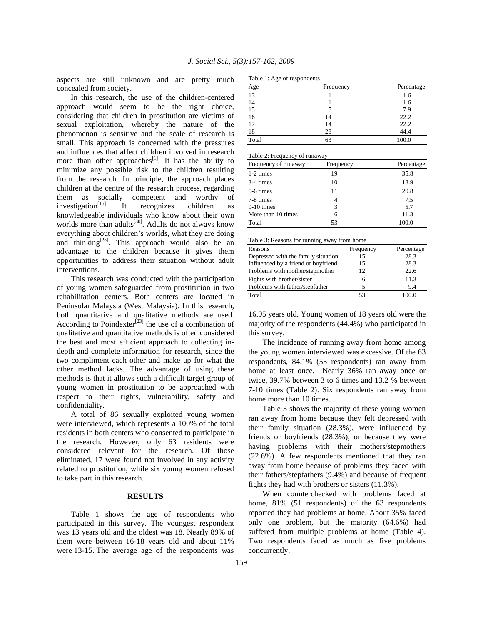aspects are still unknown and are pretty much concealed from society.

 In this research, the use of the children-centered approach would seem to be the right choice, considering that children in prostitution are victims of sexual exploitation, whereby the nature of the phenomenon is sensitive and the scale of research is small. This approach is concerned with the pressures and influences that affect children involved in research more than other approaches<sup>[1]</sup>. It has the ability to minimize any possible risk to the children resulting from the research. In principle, the approach places children at the centre of the research process, regarding them as socially competent and worthy of  $investigation<sup>[15]</sup>$ . It recognizes children as knowledgeable individuals who know about their own worlds more than adults<sup>[30]</sup>. Adults do not always know everything about children's worlds, what they are doing and thinking<sup>[25]</sup>. This approach would also be an advantage to the children because it gives them opportunities to address their situation without adult interventions.

 This research was conducted with the participation of young women safeguarded from prostitution in two rehabilitation centers. Both centers are located in Peninsular Malaysia (West Malaysia). In this research, both quantitative and qualitative methods are used. According to Poindexter<sup>[23]</sup> the use of a combination of qualitative and quantitative methods is often considered the best and most efficient approach to collecting indepth and complete information for research, since the two compliment each other and make up for what the other method lacks. The advantage of using these methods is that it allows such a difficult target group of young women in prostitution to be approached with respect to their rights, vulnerability, safety and confidentiality.

 A total of 86 sexually exploited young women were interviewed, which represents a 100% of the total residents in both centers who consented to participate in the research. However, only 63 residents were considered relevant for the research. Of those eliminated, 17 were found not involved in any activity related to prostitution, while six young women refused to take part in this research.

#### **RESULTS**

 Table 1 shows the age of respondents who participated in this survey. The youngest respondent was 13 years old and the oldest was 18. Nearly 89% of them were between 16-18 years old and about 11% were 13-15. The average age of the respondents was

| Age   | Frequency | Percentage |
|-------|-----------|------------|
| 13    |           | 1.6        |
| 14    |           | 1.6        |
| 15    |           | 7.9        |
| 16    | 14        | 22.2       |
| 17    | 14        | 22.2       |
| 18    | 28        | 44.4       |
| Total | 63        | 100.0      |

Table 2: Frequency of runaway

| Frequency of runaway | Frequency | Percentage |  |
|----------------------|-----------|------------|--|
| 1-2 times            | 19        | 35.8       |  |
| 3-4 times            | 10        | 18.9       |  |
| 5-6 times            | 11        | 20.8       |  |
| 7-8 times            |           | 7.5        |  |
| $9-10$ times         | 3         | 5.7        |  |
| More than 10 times   |           | 11.3       |  |
| Total                | 53        |            |  |

Table 3: Reasons for running away from home

| Reasons                             | Frequency | Percentage |
|-------------------------------------|-----------|------------|
| Depressed with the family situation | 15        | 28.3       |
| Influenced by a friend or boyfriend | 15        | 28.3       |
| Problems with mother/stepmother     | 12        | 22.6       |
| Fights with brother/sister          | 6         | 11.3       |
| Problems with father/stepfather     | 5         | 9.4        |
| Total                               | 53        | 100.0      |

16.95 years old. Young women of 18 years old were the majority of the respondents (44.4%) who participated in this survey.

 The incidence of running away from home among the young women interviewed was excessive. Of the 63 respondents, 84.1% (53 respondents) ran away from home at least once. Nearly 36% ran away once or twice, 39.7% between 3 to 6 times and 13.2 % between 7-10 times (Table 2). Six respondents ran away from home more than 10 times.

 Table 3 shows the majority of these young women ran away from home because they felt depressed with their family situation (28.3%), were influenced by friends or boyfriends (28.3%), or because they were having problems with their mothers/stepmothers (22.6%). A few respondents mentioned that they ran away from home because of problems they faced with their fathers/stepfathers (9.4%) and because of frequent fights they had with brothers or sisters (11.3%).

 When counterchecked with problems faced at home, 81% (51 respondents) of the 63 respondents reported they had problems at home. About 35% faced only one problem, but the majority (64.6%) had suffered from multiple problems at home (Table 4). Two respondents faced as much as five problems concurrently.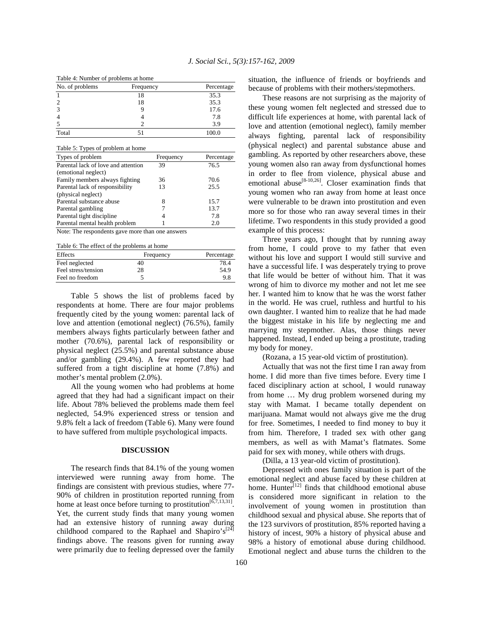| raone recurricer or propression at home |           |            |  |
|-----------------------------------------|-----------|------------|--|
| No. of problems                         | Frequency | Percentage |  |
|                                         | 18        | 35.3       |  |
|                                         | 18        | 35.3       |  |
|                                         |           | 17.6       |  |
|                                         |           | 7.8        |  |
|                                         |           | 3.9        |  |
| Total                                   |           | 100.0      |  |

| Table 5: Types of problem at home               |           |            |  |
|-------------------------------------------------|-----------|------------|--|
| Types of problem                                | Frequency | Percentage |  |
| Parental lack of love and attention             | 39        | 76.5       |  |
| (emotional neglect)                             |           |            |  |
| Family members always fighting                  | 36        | 70.6       |  |
| Parental lack of responsibility                 | 13        | 25.5       |  |
| (physical neglect)                              |           |            |  |
| Parental substance abuse                        | 8         | 15.7       |  |
| Parental gambling                               |           | 13.7       |  |
| Parental tight discipline                       |           | 7.8        |  |
| Parental mental health problem                  |           | 2.0        |  |
| $\cdot$ 1<br><b>AT . FELL</b><br>$\blacksquare$ |           |            |  |

Note: The respondents gave more than one answers

Table 6: The effect of the problems at home

| Effects             | Frequency | Percentage |
|---------------------|-----------|------------|
| Feel neglected      | 40        | 78.4       |
| Feel stress/tension | 28        | 54.9       |
| Feel no freedom     |           | 9.8        |

 Table 5 shows the list of problems faced by respondents at home. There are four major problems frequently cited by the young women: parental lack of love and attention (emotional neglect) (76.5%), family members always fights particularly between father and mother (70.6%), parental lack of responsibility or physical neglect (25.5%) and parental substance abuse and/or gambling (29.4%). A few reported they had suffered from a tight discipline at home (7.8%) and mother's mental problem (2.0%).

 All the young women who had problems at home agreed that they had had a significant impact on their life. About 78% believed the problems made them feel neglected, 54.9% experienced stress or tension and 9.8% felt a lack of freedom (Table 6). Many were found to have suffered from multiple psychological impacts.

# **DISCUSSION**

 The research finds that 84.1% of the young women interviewed were running away from home. The findings are consistent with previous studies, where 77- 90% of children in prostitution reported running from home at least once before turning to prostitution<sup>[6,7,13,31]</sup>. Yet, the current study finds that many young women had an extensive history of running away during childhood compared to the Raphael and Shapiro's<sup>[24]</sup> findings above. The reasons given for running away were primarily due to feeling depressed over the family

situation, the influence of friends or boyfriends and because of problems with their mothers/stepmothers.

 These reasons are not surprising as the majority of these young women felt neglected and stressed due to difficult life experiences at home, with parental lack of love and attention (emotional neglect), family member always fighting, parental lack of responsibility (physical neglect) and parental substance abuse and gambling. As reported by other researchers above, these young women also ran away from dysfunctional homes in order to flee from violence, physical abuse and emotional abuse<sup>[8-10,26]</sup>. Closer examination finds that young women who ran away from home at least once were vulnerable to be drawn into prostitution and even more so for those who ran away several times in their lifetime. Two respondents in this study provided a good example of this process:

 Three years ago, I thought that by running away from home, I could prove to my father that even without his love and support I would still survive and have a successful life. I was desperately trying to prove that life would be better of without him. That it was wrong of him to divorce my mother and not let me see her. I wanted him to know that he was the worst father in the world. He was cruel, ruthless and hurtful to his own daughter. I wanted him to realize that he had made the biggest mistake in his life by neglecting me and marrying my stepmother. Alas, those things never happened. Instead, I ended up being a prostitute, trading my body for money.

(Rozana, a 15 year-old victim of prostitution).

 Actually that was not the first time I ran away from home. I did more than five times before. Every time I faced disciplinary action at school, I would runaway from home … My drug problem worsened during my stay with Mamat. I became totally dependent on marijuana. Mamat would not always give me the drug for free. Sometimes, I needed to find money to buy it from him. Therefore, I traded sex with other gang members, as well as with Mamat's flatmates. Some paid for sex with money, while others with drugs.

(Dilla, a 13 year-old victim of prostitution).

 Depressed with ones family situation is part of the emotional neglect and abuse faced by these children at home. Hunter<sup>[12]</sup> finds that childhood emotional abuse is considered more significant in relation to the involvement of young women in prostitution than childhood sexual and physical abuse. She reports that of the 123 survivors of prostitution, 85% reported having a history of incest, 90% a history of physical abuse and 98% a history of emotional abuse during childhood. Emotional neglect and abuse turns the children to the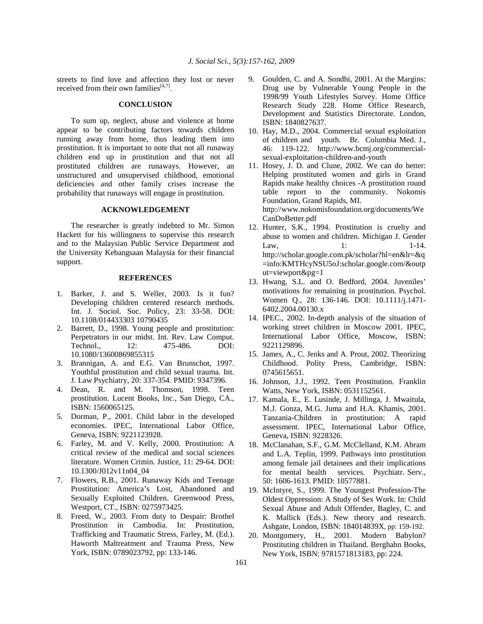streets to find love and affection they lost or never received from their own families $[4,7]$ .

# **CONCLUSION**

 To sum up, neglect, abuse and violence at home appear to be contributing factors towards children running away from home, thus leading them into prostitution. It is important to note that not all runaway children end up in prostitution and that not all prostituted children are runaways. However, an unstructured and unsupervised childhood, emotional deficiencies and other family crises increase the probability that runaways will engage in prostitution.

#### **ACKNOWLEDGEMENT**

 The researcher is greatly indebted to Mr. Simon Hackett for his willingness to supervise this research and to the Malaysian Public Service Department and the University Kebangsaan Malaysia for their financial support.

### **REFERENCES**

- 1. Barker, J. and S. Weller, 2003. Is it fun? Developing children centered research methods. Int. J. Sociol. Soc. Policy, 23: 33-58. DOI: 10.1108/014433303 10790435
- 2. Barrett, D., 1998. Young people and prostitution: Perpetrators in our midst. Int. Rev. Law Comput. Technol., 12: 475-486. DOI: 10.1080/13600869855315
- 3. Brannigan, A. and E.G. Van Brunschot, 1997. Youthful prostitution and child sexual trauma. Int. J. Law Psychiatry, 20: 337-354. PMID: 9347396.
- 4. Dean, R. and M. Thomson, 1998. Teen prostitution. Lucent Books, Inc., San Diego, CA., ISBN: 1560065125.
- 5. Dorman, P., 2001. Child labor in the developed economies. IPEC, International Labor Office, Geneva, ISBN: 9221123928.
- 6. Farley, M. and V. Kelly, 2000. Prostitution: A critical review of the medical and social sciences literature. Women Crimin. Justice, 11: 29-64. DOI: 10.1300/J012v11n04\_04
- 7. Flowers, R.B., 2001. Runaway Kids and Teenage Prostitution: America's Lost, Abandoned and Sexually Exploited Children. Greenwood Press, Westport, CT., ISBN: 0275973425.
- 8. Freed, W., 2003. From duty to Despair: Brothel Prostitution in Cambodia. In: Prostitution, Trafficking and Traumatic Stress, Farley, M. (Ed.). Haworth Maltreatment and Trauma Press, New York, ISBN: 0789023792, pp: 133-146.
- 9. Goulden, C. and A. Sondhi, 2001. At the Margins: Drug use by Vulnerable Young People in the 1998/99 Youth Lifestyles Survey. Home Office Research Study 228. Home Office Research, Development and Statistics Directorate. London, ISBN: 1840827637.
- 10. Hay, M.D., 2004. Commercial sexual exploitation of children and youth. Br. Columbia Med. J., 46: 119-122. http://www.bcmj.org/commercialsexual-exploitation-children-and-youth
- 11. Hosey, J. D. and Clune, 2002. We can do better: Helping prostituted women and girls in Grand Rapids make healthy choices -A prostitution round table report to the community. Nokomis Foundation, Grand Rapids, MI. http://www.nokomisfoundation.org/documents/We CanDoBetter.pdf
- 12. Hunter, S.K., 1994. Prostitution is cruelty and abuse to women and children. Michigan J. Gender Law,  $1:$   $1-14.$ http://scholar.google.com.pk/scholar?hl=en&lr=&q =info:KMTHcyNSU5oJ:scholar.google.com/&outp ut=viewport&pg=1
- 13. Hwang, S.L. and O. Bedford, 2004. Juveniles' motivations for remaining in prostitution. Psychol. Women Q., 28: 136-146. DOI: 10.1111/j.1471- 6402.2004.00130.x
- 14. IPEC., 2002. In-depth analysis of the situation of working street children in Moscow 2001. IPEC, International Labor Office, Moscow, ISBN: 9221129896.
- 15. James, A., C. Jenks and A. Prout, 2002. Theorizing Childhood. Polity Press, Cambridge, ISBN: 0745615651.
- 16. Johnson, J.J., 1992. Teen Prostitution. Franklin Watts, New York, ISBN: 0531152561.
- 17. Kamala, E., E. Lusinde, J. Millinga, J. Mwaitula, M.J. Gonza, M.G. Juma and H.A. Khamis, 2001. Tanzania-Children in prostitution: A rapid assessment. IPEC, International Labor Office, Geneva, ISBN: 9228326.
- 18. McClanahan, S.F., G.M. McClelland, K.M. Abram and L.A. Teplin, 1999. Pathways into prostitution among female jail detainees and their implications for mental health services. Psychiatr. Serv., 50: 1606-1613. PMID: 10577881.
- 19. McIntyre, S., 1999. The Youngest Profession-The Oldest Oppression: A Study of Sex Work. In: Child Sexual Abuse and Adult Offender, Bagley, C. and K. Mallick (Eds.). New theory and research. Ashgate, London, ISBN: 184014839X, pp: 159-192.
- 20. Montgomery, H., 2001. Modern Babylon? Prostituting children in Thailand. Berghahn Books, New York, ISBN: 9781571813183, pp: 224.